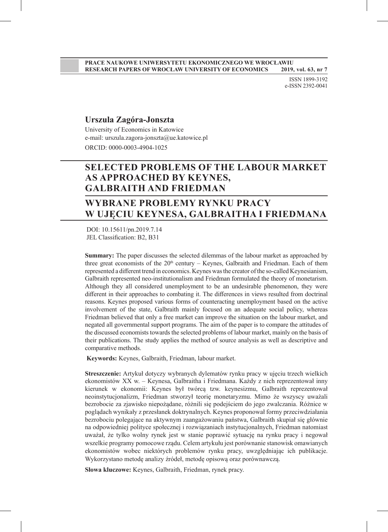ISSN 1899-3192 e-ISSN 2392-0041

#### **Urszula Zagóra-Jonszta**

University of Economics in Katowice e-mail: urszula.zagora-jonszta@ue.katowice.pl ORCID: 0000-0003-4904-1025

## **SELECTED PROBLEMS OF THE LABOUR MARKET AS APPROACHED BY KEYNES, GALBRAITH AND FRIEDMAN**

## **WYBRANE PROBLEMY RYNKU PRACY W UJĘCIU KEYNESA, GALBRAITHA I FRIEDMANA**

 DOI: 10.15611/pn.2019.7.14 JEL Classification: B2, B31

**Summary:** The paper discusses the selected dilemmas of the labour market as approached by three great economists of the  $20<sup>th</sup>$  century – Keynes, Galbraith and Friedman. Each of them represented a different trend in economics. Keynes was the creator of the so-called Keynesianism, Galbraith represented neo-institutionalism and Friedman formulated the theory of monetarism. Although they all considered unemployment to be an undesirable phenomenon, they were different in their approaches to combating it. The differences in views resulted from doctrinal reasons. Keynes proposed various forms of counteracting unemployment based on the active involvement of the state, Galbraith mainly focused on an adequate social policy, whereas Friedman believed that only a free market can improve the situation on the labour market, and negated all governmental support programs. The aim of the paper is to compare the attitudes of the discussed economists towards the selected problems of labour market, mainly on the basis of their publications. The study applies the method of source analysis as well as descriptive and comparative methods.

 **Keywords:** Keynes, Galbraith, Friedman, labour market.

**Streszczenie:** Artykuł dotyczy wybranych dylematów rynku pracy w ujęciu trzech wielkich ekonomistów XX w. – Keynesa, Galbraitha i Friedmana. Każdy z nich reprezentował inny kierunek w ekonomii: Keynes był twórcą tzw. keynesizmu, Galbraith reprezentował neoinstytucjonalizm, Friedman stworzył teorię monetaryzmu. Mimo że wszyscy uważali bezrobocie za zjawisko niepożądane, różnili się podejściem do jego zwalczania. Różnice w poglądach wynikały z przesłanek doktrynalnych. Keynes proponował formy przeciwdziałania bezrobociu polegające na aktywnym zaangażowaniu państwa, Galbraith skupiał się głównie na odpowiedniej polityce społecznej i rozwiązaniach instytucjonalnych, Friedman natomiast uważał, że tylko wolny rynek jest w stanie poprawić sytuację na rynku pracy i negował wszelkie programy pomocowe rządu. Celem artykułu jest porównanie stanowisk omawianych ekonomistów wobec niektórych problemów rynku pracy, uwzględniając ich publikacje. Wykorzystano metodę analizy źródeł, metodę opisową oraz porównawczą.

**Słowa kluczowe:** Keynes, Galbraith, Friedman, rynek pracy.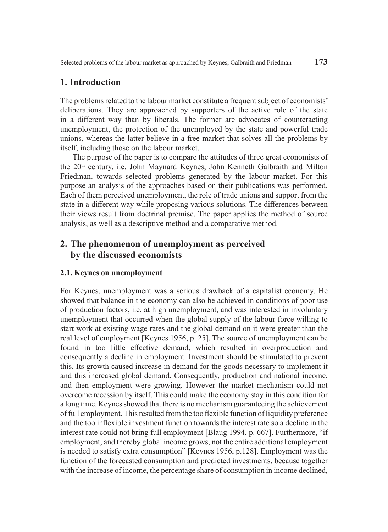## **1. Introduction**

The problems related to the labour market constitute a frequent subject of economists' deliberations. They are approached by supporters of the active role of the state in a different way than by liberals. The former are advocates of counteracting unemployment, the protection of the unemployed by the state and powerful trade unions, whereas the latter believe in a free market that solves all the problems by itself, including those on the labour market.

The purpose of the paper is to compare the attitudes of three great economists of the 20th century, i.e. John Maynard Keynes, John Kenneth Galbraith and Milton Friedman, towards selected problems generated by the labour market. For this purpose an analysis of the approaches based on their publications was performed. Each of them perceived unemployment, the role of trade unions and support from the state in a different way while proposing various solutions. The differences between their views result from doctrinal premise. The paper applies the method of source analysis, as well as a descriptive method and a comparative method.

## **2. The phenomenon of unemployment as perceived by the discussed economists**

#### **2.1. Keynes on unemployment**

For Keynes, unemployment was a serious drawback of a capitalist economy. He showed that balance in the economy can also be achieved in conditions of poor use of production factors, i.e. at high unemployment, and was interested in involuntary unemployment that occurred when the global supply of the labour force willing to start work at existing wage rates and the global demand on it were greater than the real level of employment [Keynes 1956, p. 25]. The source of unemployment can be found in too little effective demand, which resulted in overproduction and consequently a decline in employment. Investment should be stimulated to prevent this. Its growth caused increase in demand for the goods necessary to implement it and this increased global demand. Consequently, production and national income, and then employment were growing. However the market mechanism could not overcome recession by itself. This could make the economy stay in this condition for a long time. Keynes showed that there is no mechanism guaranteeing the achievement of full employment. This resulted from the too flexible function of liquidity preference and the too inflexible investment function towards the interest rate so a decline in the interest rate could not bring full employment [Blaug 1994, p. 667]. Furthermore, "if employment, and thereby global income grows, not the entire additional employment is needed to satisfy extra consumption" [Keynes 1956, p.128]. Employment was the function of the forecasted consumption and predicted investments, because together with the increase of income, the percentage share of consumption in income declined,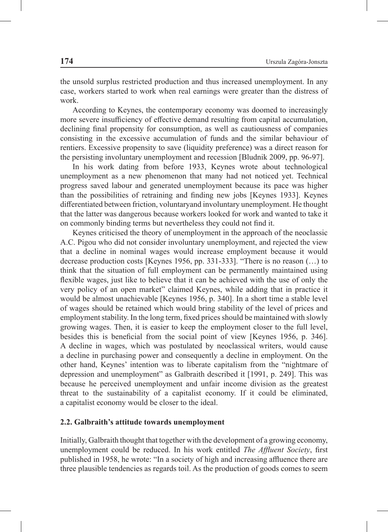the unsold surplus restricted production and thus increased unemployment. In any case, workers started to work when real earnings were greater than the distress of work.

According to Keynes, the contemporary economy was doomed to increasingly more severe insufficiency of effective demand resulting from capital accumulation, declining final propensity for consumption, as well as cautiousness of companies consisting in the excessive accumulation of funds and the similar behaviour of rentiers. Excessive propensity to save (liquidity preference) was a direct reason for the persisting involuntary unemployment and recession [Bludnik 2009, pp. 96-97].

In his work dating from before 1933, Keynes wrote about technological unemployment as a new phenomenon that many had not noticed yet. Technical progress saved labour and generated unemployment because its pace was higher than the possibilities of retraining and finding new jobs [Keynes 1933]. Keynes differentiated between friction, voluntaryand involuntary unemployment. He thought that the latter was dangerous because workers looked for work and wanted to take it on commonly binding terms but nevertheless they could not find it.

Keynes criticised the theory of unemployment in the approach of the neoclassic A.C. Pigou who did not consider involuntary unemployment, and rejected the view that a decline in nominal wages would increase employment because it would decrease production costs [Keynes 1956, pp. 331-333]. "There is no reason (…) to think that the situation of full employment can be permanently maintained using flexible wages, just like to believe that it can be achieved with the use of only the very policy of an open market" claimed Keynes, while adding that in practice it would be almost unachievable [Keynes 1956, p. 340]. In a short time a stable level of wages should be retained which would bring stability of the level of prices and employment stability. In the long term, fixed prices should be maintained with slowly growing wages. Then, it is easier to keep the employment closer to the full level, besides this is beneficial from the social point of view [Keynes 1956, p. 346]. A decline in wages, which was postulated by neoclassical writers, would cause a decline in purchasing power and consequently a decline in employment. On the other hand, Keynes' intention was to liberate capitalism from the "nightmare of depression and unemployment" as Galbraith described it [1991, p. 249]. This was because he perceived unemployment and unfair income division as the greatest threat to the sustainability of a capitalist economy. If it could be eliminated, a capitalist economy would be closer to the ideal.

#### **2.2. Galbraith's attitude towards unemployment**

Initially, Galbraith thought that together with the development of a growing economy, unemployment could be reduced. In his work entitled *The Affluent Society*, first published in 1958, he wrote: "In a society of high and increasing affluence there are three plausible tendencies as regards toil. As the production of goods comes to seem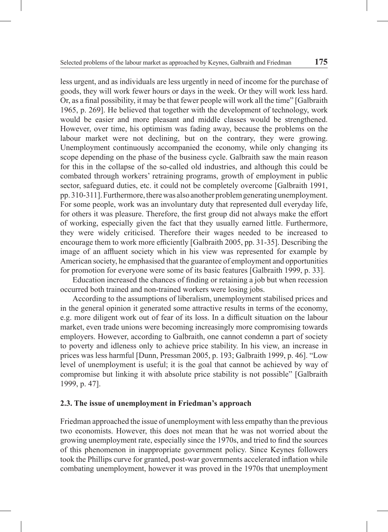less urgent, and as individuals are less urgently in need of income for the purchase of goods, they will work fewer hours or days in the week. Or they will work less hard. Or, as a final possibility, it may be that fewer people will work all the time" [Galbraith 1965, p. 269]. He believed that together with the development of technology, work would be easier and more pleasant and middle classes would be strengthened. However, over time, his optimism was fading away, because the problems on the labour market were not declining, but on the contrary, they were growing. Unemployment continuously accompanied the economy, while only changing its scope depending on the phase of the business cycle. Galbraith saw the main reason for this in the collapse of the so-called old industries, and although this could be combated through workers' retraining programs, growth of employment in public sector, safeguard duties, etc. it could not be completely overcome [Galbraith 1991, pp. 310-311]. Furthermore, there was also another problem generating unemployment. For some people, work was an involuntary duty that represented dull everyday life, for others it was pleasure. Therefore, the first group did not always make the effort of working, especially given the fact that they usually earned little. Furthermore, they were widely criticised. Therefore their wages needed to be increased to encourage them to work more efficiently [Galbraith 2005, pp. 31-35]. Describing the image of an affluent society which in his view was represented for example by American society, he emphasised that the guarantee of employment and opportunities for promotion for everyone were some of its basic features [Galbraith 1999, p. 33].

Education increased the chances of finding or retaining a job but when recession occurred both trained and non-trained workers were losing jobs.

According to the assumptions of liberalism, unemployment stabilised prices and in the general opinion it generated some attractive results in terms of the economy, e.g. more diligent work out of fear of its loss. In a difficult situation on the labour market, even trade unions were becoming increasingly more compromising towards employers. However, according to Galbraith, one cannot condemn a part of society to poverty and idleness only to achieve price stability. In his view, an increase in prices was less harmful [Dunn, Pressman 2005, p. 193; Galbraith 1999, p. 46]. "Low level of unemployment is useful; it is the goal that cannot be achieved by way of compromise but linking it with absolute price stability is not possible" [Galbraith 1999, p. 47].

#### **2.3. The issue of unemployment in Friedman's approach**

Friedman approached the issue of unemployment with less empathy than the previous two economists. However, this does not mean that he was not worried about the growing unemployment rate, especially since the 1970s, and tried to find the sources of this phenomenon in inappropriate government policy. Since Keynes followers took the Phillips curve for granted, post-war governments accelerated inflation while combating unemployment, however it was proved in the 1970s that unemployment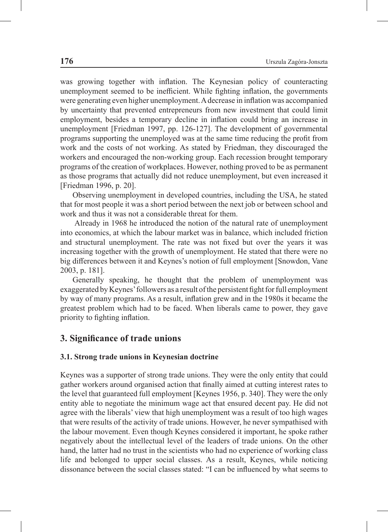was growing together with inflation. The Keynesian policy of counteracting unemployment seemed to be inefficient. While fighting inflation, the governments were generating even higher unemployment. A decrease in inflation was accompanied by uncertainty that prevented entrepreneurs from new investment that could limit employment, besides a temporary decline in inflation could bring an increase in unemployment [Friedman 1997, pp. 126-127]. The development of governmental programs supporting the unemployed was at the same time reducing the profit from work and the costs of not working. As stated by Friedman, they discouraged the workers and encouraged the non-working group. Each recession brought temporary programs of the creation of workplaces. However, nothing proved to be as permanent as those programs that actually did not reduce unemployment, but even increased it [Friedman 1996, p. 20].

Observing unemployment in developed countries, including the USA, he stated that for most people it was a short period between the next job or between school and work and thus it was not a considerable threat for them.

 Already in 1968 he introduced the notion of the natural rate of unemployment into economics, at which the labour market was in balance, which included friction and structural unemployment. The rate was not fixed but over the years it was increasing together with the growth of unemployment. He stated that there were no big differences between it and Keynes's notion of full employment [Snowdon, Vane 2003, p. 181].

Generally speaking, he thought that the problem of unemployment was exaggerated by Keynes' followers as a result of the persistent fight for full employment by way of many programs. As a result, inflation grew and in the 1980s it became the greatest problem which had to be faced. When liberals came to power, they gave priority to fighting inflation.

## **3. Significance of trade unions**

#### **3.1. Strong trade unions in Keynesian doctrine**

Keynes was a supporter of strong trade unions. They were the only entity that could gather workers around organised action that finally aimed at cutting interest rates to the level that guaranteed full employment [Keynes 1956, p. 340]. They were the only entity able to negotiate the minimum wage act that ensured decent pay. He did not agree with the liberals' view that high unemployment was a result of too high wages that were results of the activity of trade unions. However, he never sympathised with the labour movement. Even though Keynes considered it important, he spoke rather negatively about the intellectual level of the leaders of trade unions. On the other hand, the latter had no trust in the scientists who had no experience of working class life and belonged to upper social classes. As a result, Keynes, while noticing dissonance between the social classes stated: "I can be influenced by what seems to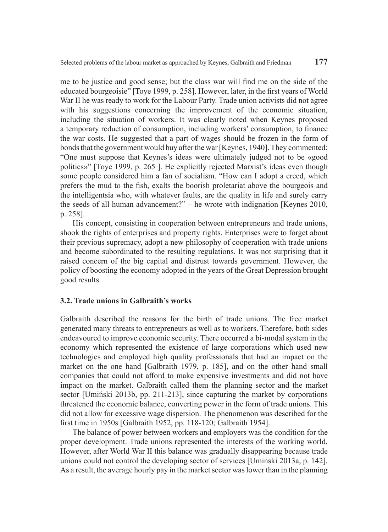me to be justice and good sense; but the class war will find me on the side of the educated bourgeoisie" [Toye 1999, p. 258]. However, later, in the first years of World War II he was ready to work for the Labour Party. Trade union activists did not agree with his suggestions concerning the improvement of the economic situation, including the situation of workers. It was clearly noted when Keynes proposed a temporary reduction of consumption, including workers' consumption, to finance the war costs. He suggested that a part of wages should be frozen in the form of bonds that the government would buy after the war [Keynes, 1940]. They commented: "One must suppose that Keynes's ideas were ultimately judged not to be «good politics»" [Toye 1999, p. 265 ]. He explicitly rejected Marxist's ideas even though some people considered him a fan of socialism. "How can I adopt a creed, which prefers the mud to the fish, exalts the boorish proletariat above the bourgeois and the intelligentsia who, with whatever faults, are the quality in life and surely carry the seeds of all human advancement?" – he wrote with indignation [Keynes 2010, p. 258].

His concept, consisting in cooperation between entrepreneurs and trade unions, shook the rights of enterprises and property rights. Enterprises were to forget about their previous supremacy, adopt a new philosophy of cooperation with trade unions and become subordinated to the resulting regulations. It was not surprising that it raised concern of the big capital and distrust towards government. However, the policy of boosting the economy adopted in the years of the Great Depression brought good results.

#### **3.2. Trade unions in Galbraith's works**

Galbraith described the reasons for the birth of trade unions. The free market generated many threats to entrepreneurs as well as to workers. Therefore, both sides endeavoured to improve economic security. There occurred a bi-modal system in the economy which represented the existence of large corporations which used new technologies and employed high quality professionals that had an impact on the market on the one hand [Galbraith 1979, p. 185], and on the other hand small companies that could not afford to make expensive investments and did not have impact on the market. Galbraith called them the planning sector and the market sector [Umiński 2013b, pp. 211-213], since capturing the market by corporations threatened the economic balance, converting power in the form of trade unions. This did not allow for excessive wage dispersion. The phenomenon was described for the first time in 1950s [Galbraith 1952, pp. 118-120; Galbraith 1954].

The balance of power between workers and employers was the condition for the proper development. Trade unions represented the interests of the working world. However, after World War II this balance was gradually disappearing because trade unions could not control the developing sector of services [Umiński 2013a, p. 142]. As a result, the average hourly pay in the market sector was lower than in the planning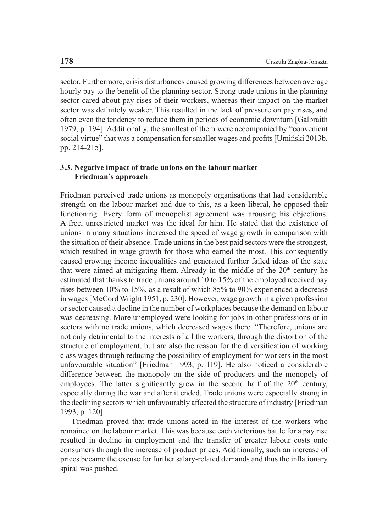sector. Furthermore, crisis disturbances caused growing differences between average hourly pay to the benefit of the planning sector. Strong trade unions in the planning sector cared about pay rises of their workers, whereas their impact on the market sector was definitely weaker. This resulted in the lack of pressure on pay rises, and often even the tendency to reduce them in periods of economic downturn [Galbraith 1979, p. 194]. Additionally, the smallest of them were accompanied by "convenient social virtue" that was a compensation for smaller wages and profits [Umiński 2013b, pp. 214-215].

#### **3.3. Negative impact of trade unions on the labour market – Friedman's approach**

Friedman perceived trade unions as monopoly organisations that had considerable strength on the labour market and due to this, as a keen liberal, he opposed their functioning. Every form of monopolist agreement was arousing his objections. A free, unrestricted market was the ideal for him. He stated that the existence of unions in many situations increased the speed of wage growth in comparison with the situation of their absence. Trade unions in the best paid sectors were the strongest, which resulted in wage growth for those who earned the most. This consequently caused growing income inequalities and generated further failed ideas of the state that were aimed at mitigating them. Already in the middle of the  $20<sup>th</sup>$  century he estimated that thanks to trade unions around 10 to 15% of the employed received pay rises between 10% to 15%, as a result of which 85% to 90% experienced a decrease in wages [McCord Wright 1951, p. 230]. However, wage growth in a given profession or sector caused a decline in the number of workplaces because the demand on labour was decreasing. More unemployed were looking for jobs in other professions or in sectors with no trade unions, which decreased wages there. "Therefore, unions are not only detrimental to the interests of all the workers, through the distortion of the structure of employment, but are also the reason for the diversification of working class wages through reducing the possibility of employment for workers in the most unfavourable situation" [Friedman 1993, p. 119]. He also noticed a considerable difference between the monopoly on the side of producers and the monopoly of employees. The latter significantly grew in the second half of the  $20<sup>th</sup>$  century, especially during the war and after it ended. Trade unions were especially strong in the declining sectors which unfavourably affected the structure of industry [Friedman 1993, p. 120].

Friedman proved that trade unions acted in the interest of the workers who remained on the labour market. This was because each victorious battle for a pay rise resulted in decline in employment and the transfer of greater labour costs onto consumers through the increase of product prices. Additionally, such an increase of prices became the excuse for further salary-related demands and thus the inflationary spiral was pushed.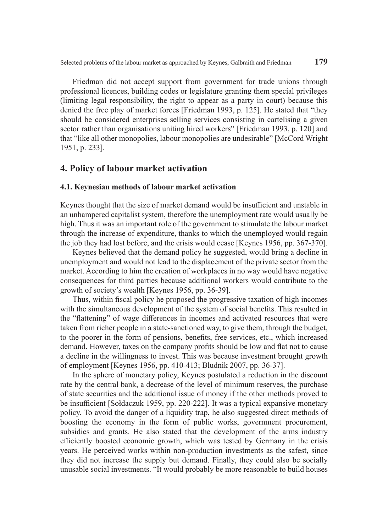Friedman did not accept support from government for trade unions through professional licences, building codes or legislature granting them special privileges (limiting legal responsibility, the right to appear as a party in court) because this denied the free play of market forces [Friedman 1993, p. 125]. He stated that "they should be considered enterprises selling services consisting in cartelising a given sector rather than organisations uniting hired workers" [Friedman 1993, p. 120] and that "like all other monopolies, labour monopolies are undesirable" [McCord Wright 1951, p. 233].

### **4. Policy of labour market activation**

#### **4.1. Keynesian methods of labour market activation**

Keynes thought that the size of market demand would be insufficient and unstable in an unhampered capitalist system, therefore the unemployment rate would usually be high. Thus it was an important role of the government to stimulate the labour market through the increase of expenditure, thanks to which the unemployed would regain the job they had lost before, and the crisis would cease [Keynes 1956, pp. 367-370].

Keynes believed that the demand policy he suggested, would bring a decline in unemployment and would not lead to the displacement of the private sector from the market. According to him the creation of workplaces in no way would have negative consequences for third parties because additional workers would contribute to the growth of society's wealth [Keynes 1956, pp. 36-39].

Thus, within fiscal policy he proposed the progressive taxation of high incomes with the simultaneous development of the system of social benefits. This resulted in the "flattening" of wage differences in incomes and activated resources that were taken from richer people in a state-sanctioned way, to give them, through the budget, to the poorer in the form of pensions, benefits, free services, etc., which increased demand. However, taxes on the company profits should be low and flat not to cause a decline in the willingness to invest. This was because investment brought growth of employment [Keynes 1956, pp. 410-413; Bludnik 2007, pp. 36-37].

In the sphere of monetary policy, Keynes postulated a reduction in the discount rate by the central bank, a decrease of the level of minimum reserves, the purchase of state securities and the additional issue of money if the other methods proved to be insufficient [Sołdaczuk 1959, pp. 220-222]. It was a typical expansive monetary policy. To avoid the danger of a liquidity trap, he also suggested direct methods of boosting the economy in the form of public works, government procurement, subsidies and grants. He also stated that the development of the arms industry efficiently boosted economic growth, which was tested by Germany in the crisis years. He perceived works within non-production investments as the safest, since they did not increase the supply but demand. Finally, they could also be socially unusable social investments. "It would probably be more reasonable to build houses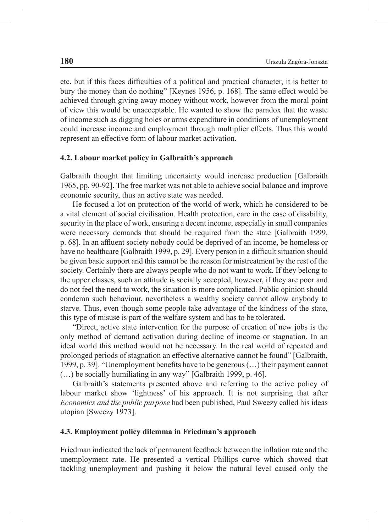etc. but if this faces difficulties of a political and practical character, it is better to bury the money than do nothing" [Keynes 1956, p. 168]. The same effect would be achieved through giving away money without work, however from the moral point of view this would be unacceptable. He wanted to show the paradox that the waste of income such as digging holes or arms expenditure in conditions of unemployment could increase income and employment through multiplier effects. Thus this would represent an effective form of labour market activation.

#### **4.2. Labour market policy in Galbraith's approach**

Galbraith thought that limiting uncertainty would increase production [Galbraith 1965, pp. 90-92]. The free market was not able to achieve social balance and improve economic security, thus an active state was needed.

He focused a lot on protection of the world of work, which he considered to be a vital element of social civilisation. Health protection, care in the case of disability, security in the place of work, ensuring a decent income, especially in small companies were necessary demands that should be required from the state [Galbraith 1999, p. 68]. In an affluent society nobody could be deprived of an income, be homeless or have no healthcare [Galbraith 1999, p. 29]. Every person in a difficult situation should be given basic support and this cannot be the reason for mistreatment by the rest of the society. Certainly there are always people who do not want to work. If they belong to the upper classes, such an attitude is socially accepted, however, if they are poor and do not feel the need to work, the situation is more complicated. Public opinion should condemn such behaviour, nevertheless a wealthy society cannot allow anybody to starve. Thus, even though some people take advantage of the kindness of the state, this type of misuse is part of the welfare system and has to be tolerated.

"Direct, active state intervention for the purpose of creation of new jobs is the only method of demand activation during decline of income or stagnation. In an ideal world this method would not be necessary. In the real world of repeated and prolonged periods of stagnation an effective alternative cannot be found" [Galbraith, 1999, p. 39]. "Unemployment benefits have to be generous (…) their payment cannot (…) be socially humiliating in any way" [Galbraith 1999, p. 46].

Galbraith's statements presented above and referring to the active policy of labour market show 'lightness' of his approach. It is not surprising that after *Economics and the public purpose* had been published, Paul Sweezy called his ideas utopian [Sweezy 1973].

#### **4.3. Employment policy dilemma in Friedman's approach**

Friedman indicated the lack of permanent feedback between the inflation rate and the unemployment rate. He presented a vertical Phillips curve which showed that tackling unemployment and pushing it below the natural level caused only the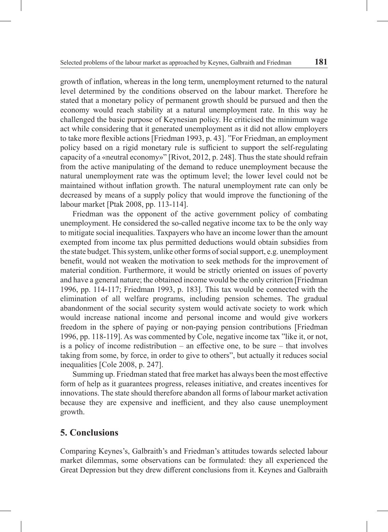growth of inflation, whereas in the long term, unemployment returned to the natural level determined by the conditions observed on the labour market. Therefore he stated that a monetary policy of permanent growth should be pursued and then the economy would reach stability at a natural unemployment rate. In this way he challenged the basic purpose of Keynesian policy. He criticised the minimum wage act while considering that it generated unemployment as it did not allow employers to take more flexible actions [Friedman 1993, p. 43]. "For Friedman, an employment policy based on a rigid monetary rule is sufficient to support the self-regulating capacity of a «neutral economy»" [Rivot, 2012, p. 248]. Thus the state should refrain from the active manipulating of the demand to reduce unemployment because the natural unemployment rate was the optimum level; the lower level could not be maintained without inflation growth. The natural unemployment rate can only be decreased by means of a supply policy that would improve the functioning of the labour market [Ptak 2008, pp. 113-114].

Friedman was the opponent of the active government policy of combating unemployment. He considered the so-called negative income tax to be the only way to mitigate social inequalities. Taxpayers who have an income lower than the amount exempted from income tax plus permitted deductions would obtain subsidies from the state budget. This system, unlike other forms of social support, e.g. unemployment benefit, would not weaken the motivation to seek methods for the improvement of material condition. Furthermore, it would be strictly oriented on issues of poverty and have a general nature; the obtained income would be the only criterion [Friedman 1996, pp. 114-117; Friedman 1993, p. 183]. This tax would be connected with the elimination of all welfare programs, including pension schemes. The gradual abandonment of the social security system would activate society to work which would increase national income and personal income and would give workers freedom in the sphere of paying or non-paying pension contributions [Friedman 1996, pp. 118-119]. As was commented by Cole, negative income tax "like it, or not, is a policy of income redistribution – an effective one, to be sure – that involves taking from some, by force, in order to give to others", but actually it reduces social inequalities [Cole 2008, p. 247].

Summing up. Friedman stated that free market has always been the most effective form of help as it guarantees progress, releases initiative, and creates incentives for innovations. The state should therefore abandon all forms of labour market activation because they are expensive and inefficient, and they also cause unemployment growth.

## **5. Conclusions**

Comparing Keynes's, Galbraith's and Friedman's attitudes towards selected labour market dilemmas, some observations can be formulated: they all experienced the Great Depression but they drew different conclusions from it. Keynes and Galbraith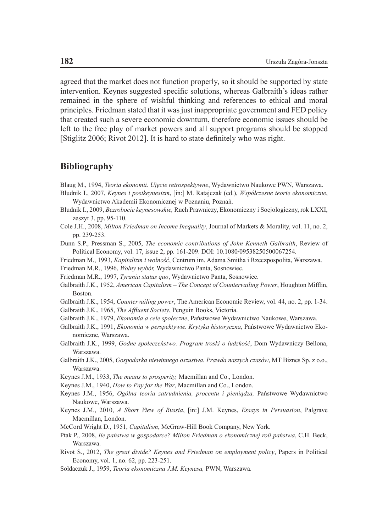agreed that the market does not function properly, so it should be supported by state intervention. Keynes suggested specific solutions, whereas Galbraith's ideas rather remained in the sphere of wishful thinking and references to ethical and moral principles. Friedman stated that it was just inappropriate government and FED policy that created such a severe economic downturn, therefore economic issues should be left to the free play of market powers and all support programs should be stopped [Stiglitz 2006; Rivot 2012]. It is hard to state definitely who was right.

#### **Bibliography**

Blaug M., 1994, *Teoria ekonomii. Ujęcie retrospektywne*, Wydawnictwo Naukowe PWN, Warszawa.

- Bludnik I., 2007, *Keynes i postkeynesizm*, [in:] M. Ratajczak (ed.), *Współczesne teorie ekonomiczne*, Wydawnictwo Akademii Ekonomicznej w Poznaniu, Poznań.
- Bludnik I., 2009, *Bezrobocie keynesowskie,* Ruch Prawniczy, Ekonomiczny i Socjologiczny, rok LXXI, zeszyt 3, pp. 95-110.
- Cole J.H., 2008, *Milton Friedman on Income Inequality*, Journal of Markets & Morality, vol. 11, no. 2, pp. 239-253.
- Dunn S.P., Pressman S., 2005, *The economic contributions of John Kenneth Galbraith*, Review of Political Economy, vol. 17, issue 2, pp. 161-209. DOI: 10.1080/09538250500067254.
- Friedman M., 1993, *Kapitalizm i wolność*, Centrum im. Adama Smitha i Rzeczpospolita, Warszawa.
- Friedman M.R., 1996, *Wolny wybór,* Wydawnictwo Panta, Sosnowiec.
- Friedman M.R., 1997, *Tyrania status quo*, Wydawnictwo Panta, Sosnowiec.
- Galbraith J.K., 1952, *American Capitalism The Concept of Countervailing Power*, Houghton Mifflin, Boston.
- Galbraith J.K., 1954, *Countervailing power*, The American Economic Review, vol. 44, no. 2, pp. 1-34.
- Galbraith J.K., 1965, *The Affluent Society*, Penguin Books, Victoria.
- Galbraith J.K., 1979, *Ekonomia a cele społeczne*, Państwowe Wydawnictwo Naukowe, Warszawa.
- Galbraith J.K., 1991, *Ekonomia w perspektywie. Krytyka historyczna*, Państwowe Wydawnictwo Ekonomiczne, Warszawa.
- Galbraith J.K., 1999, *Godne społeczeństwo. Program troski o ludzkość*, Dom Wydawniczy Bellona, Warszawa.
- Galbraith J.K., 2005, *Gospodarka niewinnego oszustwa. Prawda naszych czasów*, MT Biznes Sp. z o.o., Warszawa.
- Keynes J.M., 1933, *The means to prosperity,* Macmillan and Co., London.
- Keynes J.M., 1940, *How to Pay for the War*, Macmillan and Co., London.
- Keynes J.M., 1956, *Ogólna teoria zatrudnienia, procentu i pieniądza,* Państwowe Wydawnictwo Naukowe, Warszawa.
- Keynes J.M., 2010, *A Short View of Russia*, [in:] J.M. Keynes, *Essays in Persuasion*, Palgrave Macmillan, London.
- McCord Wright D., 1951, *Capitalism*, McGraw-Hill Book Company, New York.
- Ptak P., 2008, *Ile państwa w gospodarce? Milton Friedman o ekonomicznej roli państwa*, C.H. Beck, Warszawa.
- Rivot S., 2012, *The great divide? Keynes and Friedman on employment policy*, Papers in Political Economy, vol. 1, no. 62, pp. 223-251.
- Sołdaczuk J., 1959, *Teoria ekonomiczna J.M. Keynesa,* PWN, Warszawa.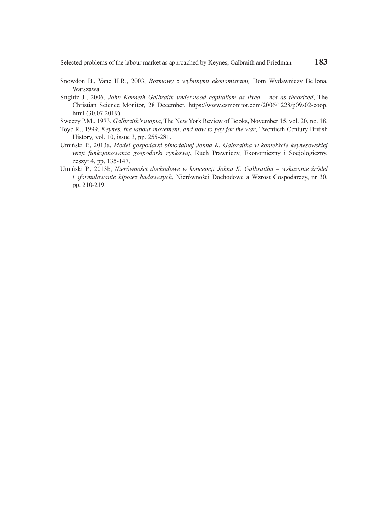- Snowdon B., Vane H.R., 2003, *Rozmowy z wybitnymi ekonomistami,* Dom Wydawniczy Bellona, Warszawa.
- Stiglitz J., 2006, *John Kenneth Galbraith understood capitalism as lived not as theorized*, The Christian Science Monitor, 28 December, https://www.csmonitor.com/2006/1228/p09s02-coop. html (30.07.2019).
- Sweezy P.M., 1973, *Galbraith's utopia*, The New York Review of Books**,** November 15, vol. 20, no. 18.
- Toye R., 1999, *Keynes, the labour movement, and how to pay for the war*, Twentieth Century British History*,* vol. 10, issue 3, pp. 255-281.
- Umiński P., 2013a, *Model gospodarki bimodalnej Johna K. Galbraitha w kontekście keynesowskiej wizji funkcjonowania gospodarki rynkowej*, Ruch Prawniczy, Ekonomiczny i Socjologiczny, zeszyt 4, pp. 135-147.
- Umiński P., 2013b, *Nierówności dochodowe w koncepcji Johna K. Galbraitha wskazanie źródeł i sformułowanie hipotez badawczych*, Nierówności Dochodowe a Wzrost Gospodarczy, nr 30, pp. 210-219.